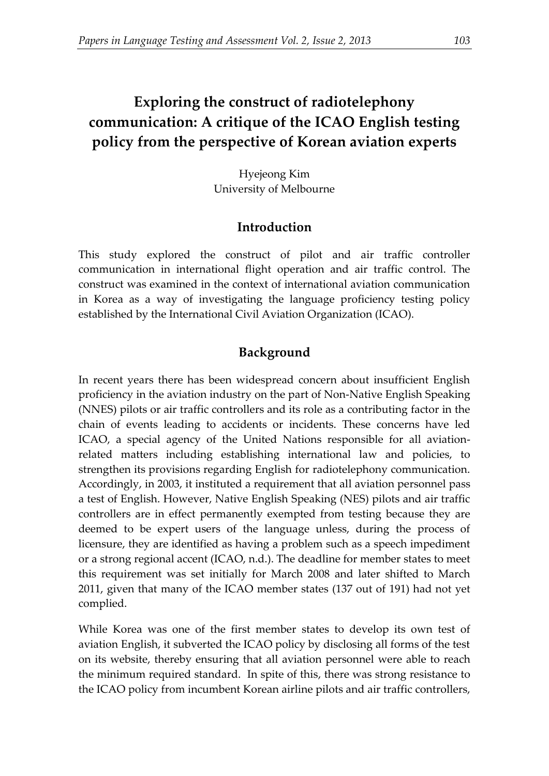# **Exploring the construct of radiotelephony communication: A critique of the ICAO English testing policy from the perspective of Korean aviation experts**

Hyejeong Kim University of Melbourne

## **Introduction**

This study explored the construct of pilot and air traffic controller communication in international flight operation and air traffic control. The construct was examined in the context of international aviation communication in Korea as a way of investigating the language proficiency testing policy established by the International Civil Aviation Organization (ICAO).

# **Background**

In recent years there has been widespread concern about insufficient English proficiency in the aviation industry on the part of Non-Native English Speaking (NNES) pilots or air traffic controllers and its role as a contributing factor in the chain of events leading to accidents or incidents. These concerns have led ICAO, a special agency of the United Nations responsible for all aviationrelated matters including establishing international law and policies, to strengthen its provisions regarding English for radiotelephony communication. Accordingly, in 2003, it instituted a requirement that all aviation personnel pass a test of English. However, Native English Speaking (NES) pilots and air traffic controllers are in effect permanently exempted from testing because they are deemed to be expert users of the language unless, during the process of licensure, they are identified as having a problem such as a speech impediment or a strong regional accent (ICAO, n.d.). The deadline for member states to meet this requirement was set initially for March 2008 and later shifted to March 2011, given that many of the ICAO member states (137 out of 191) had not yet complied.

While Korea was one of the first member states to develop its own test of aviation English, it subverted the ICAO policy by disclosing all forms of the test on its website, thereby ensuring that all aviation personnel were able to reach the minimum required standard. In spite of this, there was strong resistance to the ICAO policy from incumbent Korean airline pilots and air traffic controllers,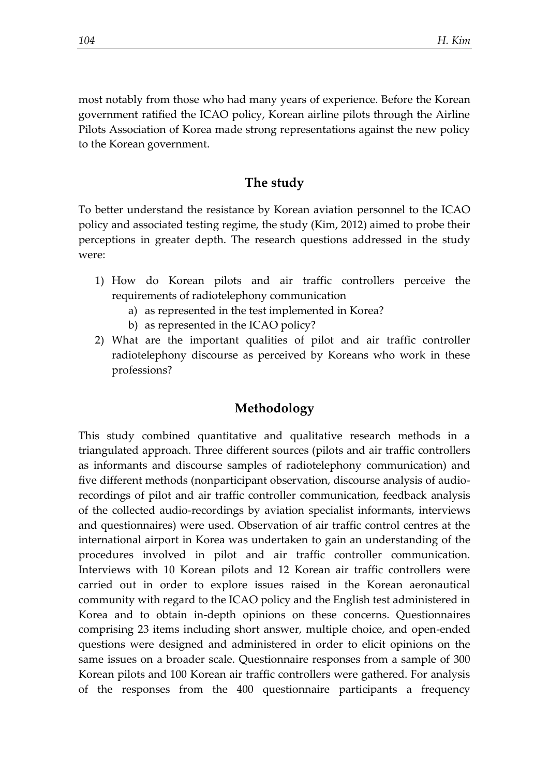most notably from those who had many years of experience. Before the Korean government ratified the ICAO policy, Korean airline pilots through the Airline Pilots Association of Korea made strong representations against the new policy to the Korean government.

## **The study**

To better understand the resistance by Korean aviation personnel to the ICAO policy and associated testing regime, the study (Kim, 2012) aimed to probe their perceptions in greater depth. The research questions addressed in the study were:

- 1) How do Korean pilots and air traffic controllers perceive the requirements of radiotelephony communication
	- a) as represented in the test implemented in Korea?
	- b) as represented in the ICAO policy?
- 2) What are the important qualities of pilot and air traffic controller radiotelephony discourse as perceived by Koreans who work in these professions?

### **Methodology**

This study combined quantitative and qualitative research methods in a triangulated approach. Three different sources (pilots and air traffic controllers as informants and discourse samples of radiotelephony communication) and five different methods (nonparticipant observation, discourse analysis of audiorecordings of pilot and air traffic controller communication, feedback analysis of the collected audio-recordings by aviation specialist informants, interviews and questionnaires) were used. Observation of air traffic control centres at the international airport in Korea was undertaken to gain an understanding of the procedures involved in pilot and air traffic controller communication. Interviews with 10 Korean pilots and 12 Korean air traffic controllers were carried out in order to explore issues raised in the Korean aeronautical community with regard to the ICAO policy and the English test administered in Korea and to obtain in-depth opinions on these concerns. Questionnaires comprising 23 items including short answer, multiple choice, and open-ended questions were designed and administered in order to elicit opinions on the same issues on a broader scale. Questionnaire responses from a sample of 300 Korean pilots and 100 Korean air traffic controllers were gathered. For analysis of the responses from the 400 questionnaire participants a frequency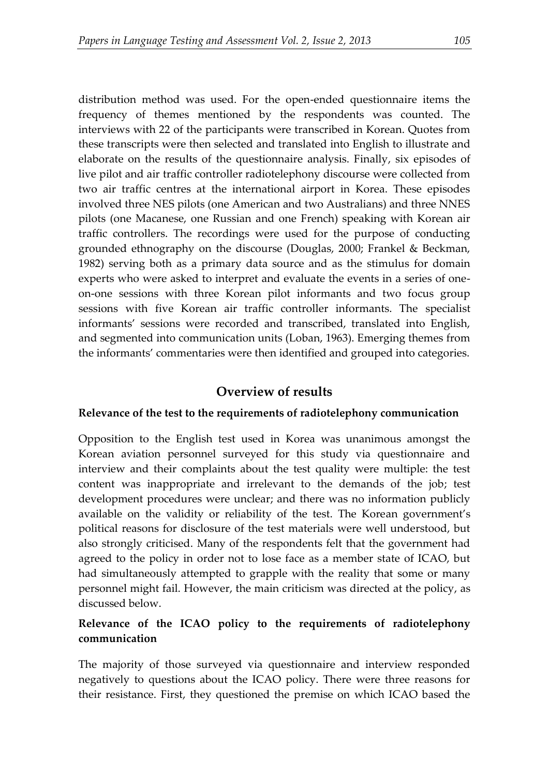distribution method was used. For the open-ended questionnaire items the frequency of themes mentioned by the respondents was counted. The interviews with 22 of the participants were transcribed in Korean. Quotes from these transcripts were then selected and translated into English to illustrate and elaborate on the results of the questionnaire analysis. Finally, six episodes of live pilot and air traffic controller radiotelephony discourse were collected from two air traffic centres at the international airport in Korea. These episodes involved three NES pilots (one American and two Australians) and three NNES pilots (one Macanese, one Russian and one French) speaking with Korean air traffic controllers. The recordings were used for the purpose of conducting grounded ethnography on the discourse (Douglas, 2000; Frankel & Beckman, 1982) serving both as a primary data source and as the stimulus for domain experts who were asked to interpret and evaluate the events in a series of oneon-one sessions with three Korean pilot informants and two focus group sessions with five Korean air traffic controller informants. The specialist informants' sessions were recorded and transcribed, translated into English, and segmented into communication units (Loban, 1963). Emerging themes from the informants' commentaries were then identified and grouped into categories.

### **Overview of results**

#### **Relevance of the test to the requirements of radiotelephony communication**

Opposition to the English test used in Korea was unanimous amongst the Korean aviation personnel surveyed for this study via questionnaire and interview and their complaints about the test quality were multiple: the test content was inappropriate and irrelevant to the demands of the job; test development procedures were unclear; and there was no information publicly available on the validity or reliability of the test. The Korean government's political reasons for disclosure of the test materials were well understood, but also strongly criticised. Many of the respondents felt that the government had agreed to the policy in order not to lose face as a member state of ICAO, but had simultaneously attempted to grapple with the reality that some or many personnel might fail. However, the main criticism was directed at the policy, as discussed below.

### **Relevance of the ICAO policy to the requirements of radiotelephony communication**

The majority of those surveyed via questionnaire and interview responded negatively to questions about the ICAO policy. There were three reasons for their resistance. First, they questioned the premise on which ICAO based the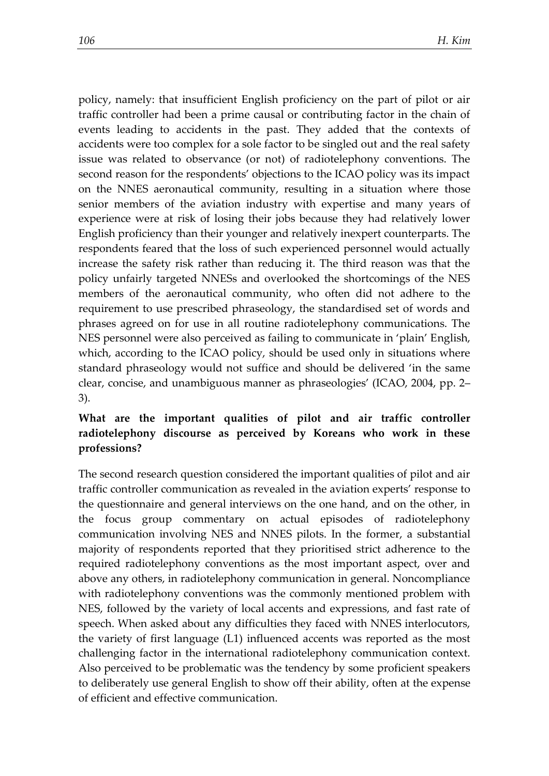policy, namely: that insufficient English proficiency on the part of pilot or air traffic controller had been a prime causal or contributing factor in the chain of events leading to accidents in the past. They added that the contexts of accidents were too complex for a sole factor to be singled out and the real safety issue was related to observance (or not) of radiotelephony conventions. The second reason for the respondents' objections to the ICAO policy was its impact on the NNES aeronautical community, resulting in a situation where those senior members of the aviation industry with expertise and many years of experience were at risk of losing their jobs because they had relatively lower English proficiency than their younger and relatively inexpert counterparts. The respondents feared that the loss of such experienced personnel would actually increase the safety risk rather than reducing it. The third reason was that the policy unfairly targeted NNESs and overlooked the shortcomings of the NES members of the aeronautical community, who often did not adhere to the requirement to use prescribed phraseology, the standardised set of words and phrases agreed on for use in all routine radiotelephony communications. The NES personnel were also perceived as failing to communicate in 'plain' English, which, according to the ICAO policy, should be used only in situations where standard phraseology would not suffice and should be delivered 'in the same clear, concise, and unambiguous manner as phraseologies' (ICAO, 2004, pp. 2– 3).

## **What are the important qualities of pilot and air traffic controller radiotelephony discourse as perceived by Koreans who work in these professions?**

The second research question considered the important qualities of pilot and air traffic controller communication as revealed in the aviation experts' response to the questionnaire and general interviews on the one hand, and on the other, in the focus group commentary on actual episodes of radiotelephony communication involving NES and NNES pilots. In the former, a substantial majority of respondents reported that they prioritised strict adherence to the required radiotelephony conventions as the most important aspect, over and above any others, in radiotelephony communication in general. Noncompliance with radiotelephony conventions was the commonly mentioned problem with NES, followed by the variety of local accents and expressions, and fast rate of speech. When asked about any difficulties they faced with NNES interlocutors, the variety of first language (L1) influenced accents was reported as the most challenging factor in the international radiotelephony communication context. Also perceived to be problematic was the tendency by some proficient speakers to deliberately use general English to show off their ability, often at the expense of efficient and effective communication.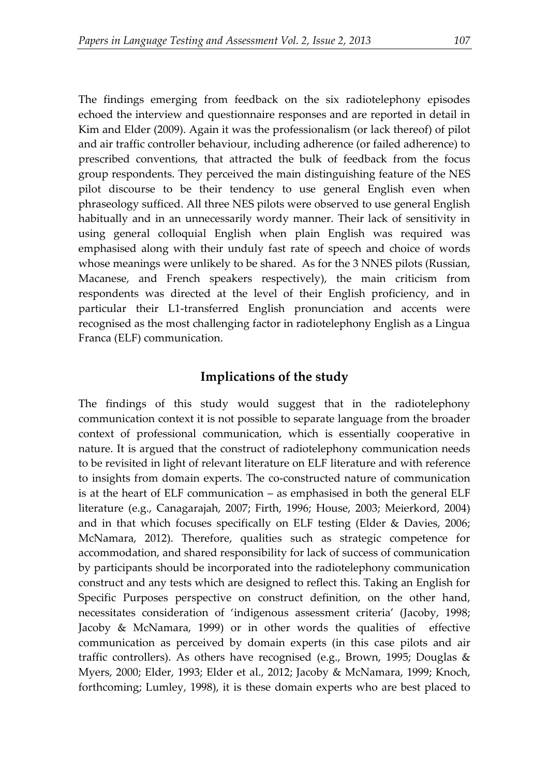The findings emerging from feedback on the six radiotelephony episodes echoed the interview and questionnaire responses and are reported in detail in Kim and Elder (2009). Again it was the professionalism (or lack thereof) of pilot and air traffic controller behaviour, including adherence (or failed adherence) to prescribed conventions, that attracted the bulk of feedback from the focus group respondents. They perceived the main distinguishing feature of the NES pilot discourse to be their tendency to use general English even when phraseology sufficed. All three NES pilots were observed to use general English habitually and in an unnecessarily wordy manner. Their lack of sensitivity in using general colloquial English when plain English was required was emphasised along with their unduly fast rate of speech and choice of words whose meanings were unlikely to be shared. As for the 3 NNES pilots (Russian, Macanese, and French speakers respectively), the main criticism from respondents was directed at the level of their English proficiency, and in particular their L1-transferred English pronunciation and accents were recognised as the most challenging factor in radiotelephony English as a Lingua Franca (ELF) communication.

# **Implications of the study**

The findings of this study would suggest that in the radiotelephony communication context it is not possible to separate language from the broader context of professional communication, which is essentially cooperative in nature. It is argued that the construct of radiotelephony communication needs to be revisited in light of relevant literature on ELF literature and with reference to insights from domain experts. The co-constructed nature of communication is at the heart of ELF communication – as emphasised in both the general ELF literature (e.g., Canagarajah, 2007; Firth, 1996; House, 2003; Meierkord, 2004) and in that which focuses specifically on ELF testing (Elder & Davies, 2006; McNamara, 2012). Therefore, qualities such as strategic competence for accommodation, and shared responsibility for lack of success of communication by participants should be incorporated into the radiotelephony communication construct and any tests which are designed to reflect this. Taking an English for Specific Purposes perspective on construct definition, on the other hand, necessitates consideration of 'indigenous assessment criteria' (Jacoby, 1998; Jacoby & McNamara, 1999) or in other words the qualities of effective communication as perceived by domain experts (in this case pilots and air traffic controllers). As others have recognised (e.g., Brown, 1995; Douglas & Myers, 2000; Elder, 1993; Elder et al., 2012; Jacoby & McNamara, 1999; Knoch, forthcoming; Lumley, 1998), it is these domain experts who are best placed to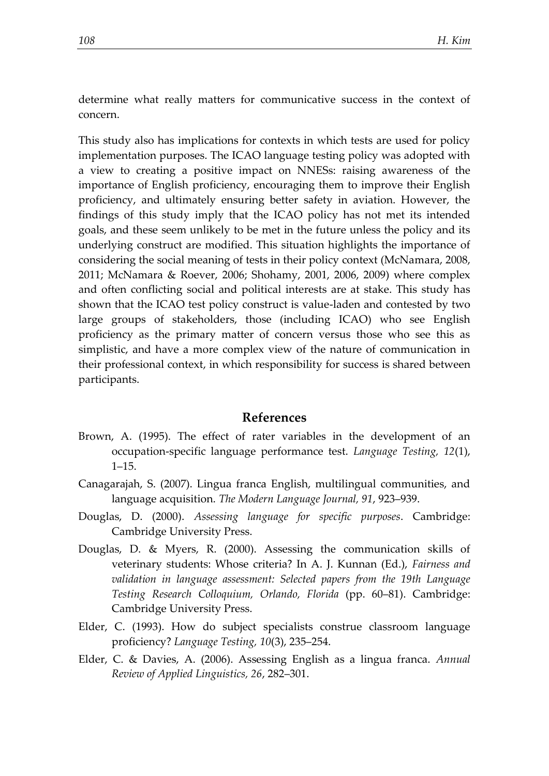determine what really matters for communicative success in the context of concern.

This study also has implications for contexts in which tests are used for policy implementation purposes. The ICAO language testing policy was adopted with a view to creating a positive impact on NNESs: raising awareness of the importance of English proficiency, encouraging them to improve their English proficiency, and ultimately ensuring better safety in aviation. However, the findings of this study imply that the ICAO policy has not met its intended goals, and these seem unlikely to be met in the future unless the policy and its underlying construct are modified. This situation highlights the importance of considering the social meaning of tests in their policy context (McNamara, 2008, 2011; McNamara & Roever, 2006; Shohamy, 2001, 2006, 2009) where complex and often conflicting social and political interests are at stake. This study has shown that the ICAO test policy construct is value-laden and contested by two large groups of stakeholders, those (including ICAO) who see English proficiency as the primary matter of concern versus those who see this as simplistic, and have a more complex view of the nature of communication in their professional context, in which responsibility for success is shared between participants.

#### **References**

- Brown, A. (1995). The effect of rater variables in the development of an occupation-specific language performance test. *Language Testing, 12*(1), 1–15.
- Canagarajah, S. (2007). Lingua franca English, multilingual communities, and language acquisition. *The Modern Language Journal, 91*, 923–939.
- Douglas, D. (2000). *Assessing language for specific purposes*. Cambridge: Cambridge University Press.
- Douglas, D. & Myers, R. (2000). Assessing the communication skills of veterinary students: Whose criteria? In A. J. Kunnan (Ed.), *Fairness and validation in language assessment: Selected papers from the 19th Language Testing Research Colloquium, Orlando, Florida* (pp. 60–81). Cambridge: Cambridge University Press.
- Elder, C. (1993). How do subject specialists construe classroom language proficiency? *Language Testing, 10*(3), 235–254.
- Elder, C. & Davies, A. (2006). Assessing English as a lingua franca. *Annual Review of Applied Linguistics, 26*, 282–301.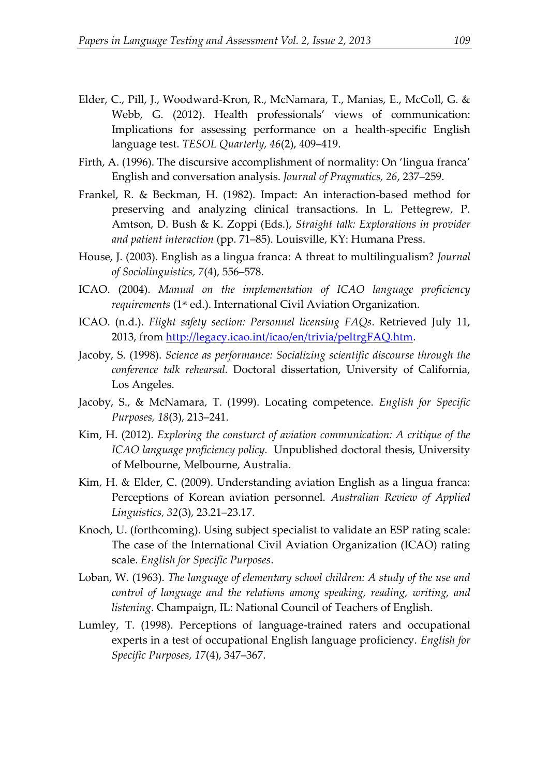- Elder, C., Pill, J., Woodward-Kron, R., McNamara, T., Manias, E., McColl, G. & Webb, G. (2012). Health professionals' views of communication: Implications for assessing performance on a health-specific English language test. *TESOL Quarterly, 46*(2), 409–419.
- Firth, A. (1996). The discursive accomplishment of normality: On 'lingua franca' English and conversation analysis. *Journal of Pragmatics, 26*, 237–259.
- Frankel, R. & Beckman, H. (1982). Impact: An interaction-based method for preserving and analyzing clinical transactions. In L. Pettegrew, P. Amtson, D. Bush & K. Zoppi (Eds.), *Straight talk: Explorations in provider and patient interaction* (pp. 71–85). Louisville, KY: Humana Press.
- House, J. (2003). English as a lingua franca: A threat to multilingualism? *Journal of Sociolinguistics, 7*(4), 556–578.
- ICAO. (2004). *Manual on the implementation of ICAO language proficiency requirements* (1st ed.). International Civil Aviation Organization.
- ICAO. (n.d.). *Flight safety section: Personnel licensing FAQs*. Retrieved July 11, 2013, from [http://legacy.icao.int/icao/en/trivia/peltrgFAQ.htm.](http://legacy.icao.int/icao/en/trivia/peltrgFAQ.htm)
- Jacoby, S. (1998). *Science as performance: Socializing scientific discourse through the conference talk rehearsal.* Doctoral dissertation, University of California, Los Angeles.
- Jacoby, S., & McNamara, T. (1999). Locating competence. *English for Specific Purposes, 18*(3), 213–241.
- Kim, H. (2012). *Exploring the consturct of aviation communication: A critique of the ICAO language proficiency policy.* Unpublished doctoral thesis, University of Melbourne, Melbourne, Australia.
- Kim, H. & Elder, C. (2009). Understanding aviation English as a lingua franca: Perceptions of Korean aviation personnel. *Australian Review of Applied Linguistics, 32*(3), 23.21–23.17.
- Knoch, U. (forthcoming). Using subject specialist to validate an ESP rating scale: The case of the International Civil Aviation Organization (ICAO) rating scale. *English for Specific Purposes*.
- Loban, W. (1963). *The language of elementary school children: A study of the use and control of language and the relations among speaking, reading, writing, and listening*. Champaign, IL: National Council of Teachers of English.
- Lumley, T. (1998). Perceptions of language-trained raters and occupational experts in a test of occupational English language proficiency. *English for Specific Purposes, 17*(4), 347–367.